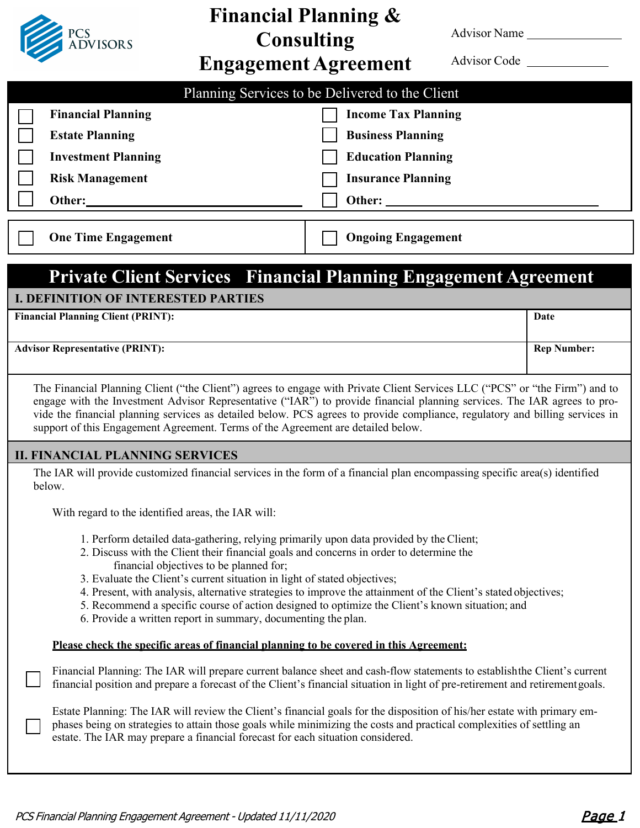

# **Financial Planning & Consulting**

Advisor Name

|                                                                                                                                                                                                                                                                                                                                                                                                                                                                                                                                                                                                  |                                                                                                                                                                                                                                                                                                                                      | <b>Advisor Code</b><br><b>Engagement Agreement</b> |                    |  |  |  |  |
|--------------------------------------------------------------------------------------------------------------------------------------------------------------------------------------------------------------------------------------------------------------------------------------------------------------------------------------------------------------------------------------------------------------------------------------------------------------------------------------------------------------------------------------------------------------------------------------------------|--------------------------------------------------------------------------------------------------------------------------------------------------------------------------------------------------------------------------------------------------------------------------------------------------------------------------------------|----------------------------------------------------|--------------------|--|--|--|--|
| Planning Services to be Delivered to the Client                                                                                                                                                                                                                                                                                                                                                                                                                                                                                                                                                  |                                                                                                                                                                                                                                                                                                                                      |                                                    |                    |  |  |  |  |
|                                                                                                                                                                                                                                                                                                                                                                                                                                                                                                                                                                                                  | <b>Financial Planning</b>                                                                                                                                                                                                                                                                                                            | <b>Income Tax Planning</b>                         |                    |  |  |  |  |
|                                                                                                                                                                                                                                                                                                                                                                                                                                                                                                                                                                                                  | <b>Estate Planning</b>                                                                                                                                                                                                                                                                                                               | <b>Business Planning</b>                           |                    |  |  |  |  |
|                                                                                                                                                                                                                                                                                                                                                                                                                                                                                                                                                                                                  | <b>Investment Planning</b>                                                                                                                                                                                                                                                                                                           | <b>Education Planning</b>                          |                    |  |  |  |  |
|                                                                                                                                                                                                                                                                                                                                                                                                                                                                                                                                                                                                  | <b>Risk Management</b>                                                                                                                                                                                                                                                                                                               | <b>Insurance Planning</b>                          |                    |  |  |  |  |
|                                                                                                                                                                                                                                                                                                                                                                                                                                                                                                                                                                                                  | Other:                                                                                                                                                                                                                                                                                                                               |                                                    |                    |  |  |  |  |
|                                                                                                                                                                                                                                                                                                                                                                                                                                                                                                                                                                                                  | <b>One Time Engagement</b>                                                                                                                                                                                                                                                                                                           | <b>Ongoing Engagement</b>                          |                    |  |  |  |  |
|                                                                                                                                                                                                                                                                                                                                                                                                                                                                                                                                                                                                  | <b>Private Client Services Financial Planning Engagement Agreement</b>                                                                                                                                                                                                                                                               |                                                    |                    |  |  |  |  |
|                                                                                                                                                                                                                                                                                                                                                                                                                                                                                                                                                                                                  | <b>I. DEFINITION OF INTERESTED PARTIES</b>                                                                                                                                                                                                                                                                                           |                                                    |                    |  |  |  |  |
|                                                                                                                                                                                                                                                                                                                                                                                                                                                                                                                                                                                                  | <b>Financial Planning Client (PRINT):</b>                                                                                                                                                                                                                                                                                            |                                                    | Date               |  |  |  |  |
|                                                                                                                                                                                                                                                                                                                                                                                                                                                                                                                                                                                                  | <b>Advisor Representative (PRINT):</b>                                                                                                                                                                                                                                                                                               |                                                    | <b>Rep Number:</b> |  |  |  |  |
| The Financial Planning Client ("the Client") agrees to engage with Private Client Services LLC ("PCS" or "the Firm") and to<br>engage with the Investment Advisor Representative ("IAR") to provide financial planning services. The IAR agrees to pro-<br>vide the financial planning services as detailed below. PCS agrees to provide compliance, regulatory and billing services in<br>support of this Engagement Agreement. Terms of the Agreement are detailed below.                                                                                                                      |                                                                                                                                                                                                                                                                                                                                      |                                                    |                    |  |  |  |  |
| <b>II. FINANCIAL PLANNING SERVICES</b>                                                                                                                                                                                                                                                                                                                                                                                                                                                                                                                                                           |                                                                                                                                                                                                                                                                                                                                      |                                                    |                    |  |  |  |  |
| The IAR will provide customized financial services in the form of a financial plan encompassing specific area(s) identified<br>below.                                                                                                                                                                                                                                                                                                                                                                                                                                                            |                                                                                                                                                                                                                                                                                                                                      |                                                    |                    |  |  |  |  |
|                                                                                                                                                                                                                                                                                                                                                                                                                                                                                                                                                                                                  | With regard to the identified areas, the IAR will:                                                                                                                                                                                                                                                                                   |                                                    |                    |  |  |  |  |
| 1. Perform detailed data-gathering, relying primarily upon data provided by the Client;<br>2. Discuss with the Client their financial goals and concerns in order to determine the<br>financial objectives to be planned for;<br>3. Evaluate the Client's current situation in light of stated objectives;<br>4. Present, with analysis, alternative strategies to improve the attainment of the Client's stated objectives;<br>5. Recommend a specific course of action designed to optimize the Client's known situation; and<br>6. Provide a written report in summary, documenting the plan. |                                                                                                                                                                                                                                                                                                                                      |                                                    |                    |  |  |  |  |
|                                                                                                                                                                                                                                                                                                                                                                                                                                                                                                                                                                                                  | Please check the specific areas of financial planning to be covered in this Agreement:                                                                                                                                                                                                                                               |                                                    |                    |  |  |  |  |
|                                                                                                                                                                                                                                                                                                                                                                                                                                                                                                                                                                                                  | Financial Planning: The IAR will prepare current balance sheet and cash-flow statements to establishthe Client's current<br>financial position and prepare a forecast of the Client's financial situation in light of pre-retirement and retirement goals.                                                                           |                                                    |                    |  |  |  |  |
|                                                                                                                                                                                                                                                                                                                                                                                                                                                                                                                                                                                                  | Estate Planning: The IAR will review the Client's financial goals for the disposition of his/her estate with primary em-<br>phases being on strategies to attain those goals while minimizing the costs and practical complexities of settling an<br>estate. The IAR may prepare a financial forecast for each situation considered. |                                                    |                    |  |  |  |  |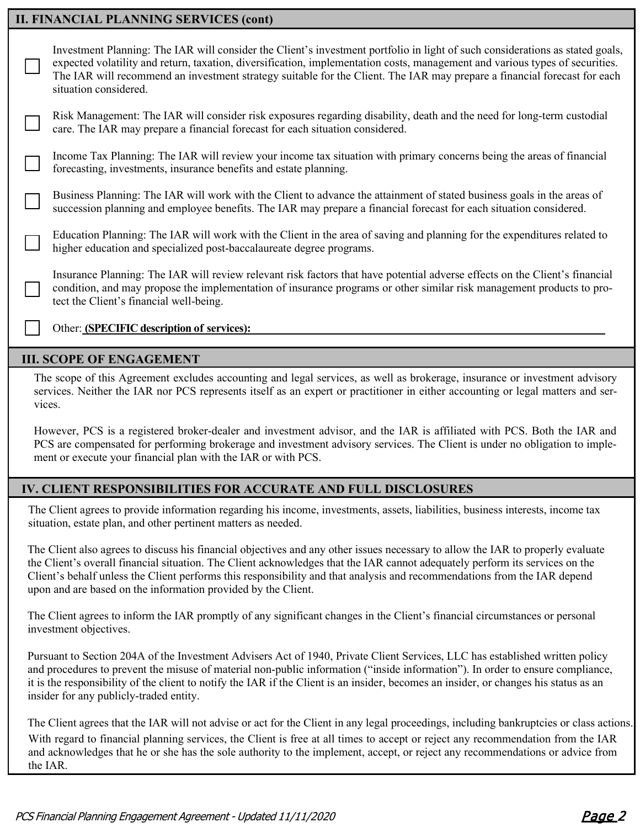# **II. FINANCIAL PLANNING SERVICES (cont)**

| Investment Planning: The IAR will consider the Client's investment portfolio in light of such considerations as stated goals,<br>expected volatility and return, taxation, diversification, implementation costs, management and various types of securities.<br>The IAR will recommend an investment strategy suitable for the Client. The IAR may prepare a financial forecast for each<br>situation considered. |
|--------------------------------------------------------------------------------------------------------------------------------------------------------------------------------------------------------------------------------------------------------------------------------------------------------------------------------------------------------------------------------------------------------------------|
| Risk Management: The IAR will consider risk exposures regarding disability, death and the need for long-term custodial<br>care. The IAR may prepare a financial forecast for each situation considered.                                                                                                                                                                                                            |
| Income Tax Planning: The IAR will review your income tax situation with primary concerns being the areas of financial<br>forecasting, investments, insurance benefits and estate planning.                                                                                                                                                                                                                         |
| Business Planning: The IAR will work with the Client to advance the attainment of stated business goals in the areas of<br>succession planning and employee benefits. The IAR may prepare a financial forecast for each situation considered.                                                                                                                                                                      |
| Education Planning: The IAR will work with the Client in the area of saving and planning for the expenditures related to<br>higher education and specialized post-baccalaureate degree programs.                                                                                                                                                                                                                   |
| Insurance Planning: The IAR will review relevant risk factors that have potential adverse effects on the Client's financial<br>condition, and may propose the implementation of insurance programs or other similar risk management products to pro-<br>tect the Client's financial well-being.                                                                                                                    |
| Other: (SPECIFIC description of services):                                                                                                                                                                                                                                                                                                                                                                         |

# **III. SCOPE OF ENGAGEMENT**

The scope of this Agreement excludes accounting and legal services, as well as brokerage, insurance or investment advisory services. Neither the IAR nor PCS represents itself as an expert or practitioner in either accounting or legal matters and services.

However, PCS is a registered broker-dealer and investment advisor, and the IAR is affiliated with PCS. Both the IAR and PCS are compensated for performing brokerage and investment advisory services. The Client is under no obligation to implement or execute your financial plan with the IAR or with PCS.

# **IV. CLIENT RESPONSIBILITIES FOR ACCURATE AND FULL DISCLOSURES**

The Client agrees to provide information regarding his income, investments, assets, liabilities, business interests, income tax situation, estate plan, and other pertinent matters as needed.

The Client also agrees to discuss his financial objectives and any other issues necessary to allow the IAR to properly evaluate the Client's overall financial situation. The Client acknowledges that the IAR cannot adequately perform its services on the Client's behalf unless the Client performs this responsibility and that analysis and recommendations from the IAR depend upon and are based on the information provided by the Client.

The Client agrees to inform the IAR promptly of any significant changes in the Client's financial circumstances or personal investment objectives.

Pursuant to Section 204A of the Investment Advisers Act of 1940, Private Client Services, LLC has established written policy and procedures to prevent the misuse of material non-public information ("inside information"). In order to ensure compliance, it is the responsibility of the client to notify the IAR if the Client is an insider, becomes an insider, or changes his status as an insider for any publicly-traded entity.

The Client agrees that the IAR will not advise or act for the Client in any legal proceedings, including bankruptcies or class actions.

With regard to financial planning services, the Client is free at all times to accept or reject any recommendation from the IAR and acknowledges that he or she has the sole authority to the implement, accept, or reject any recommendations or advice from the IAR.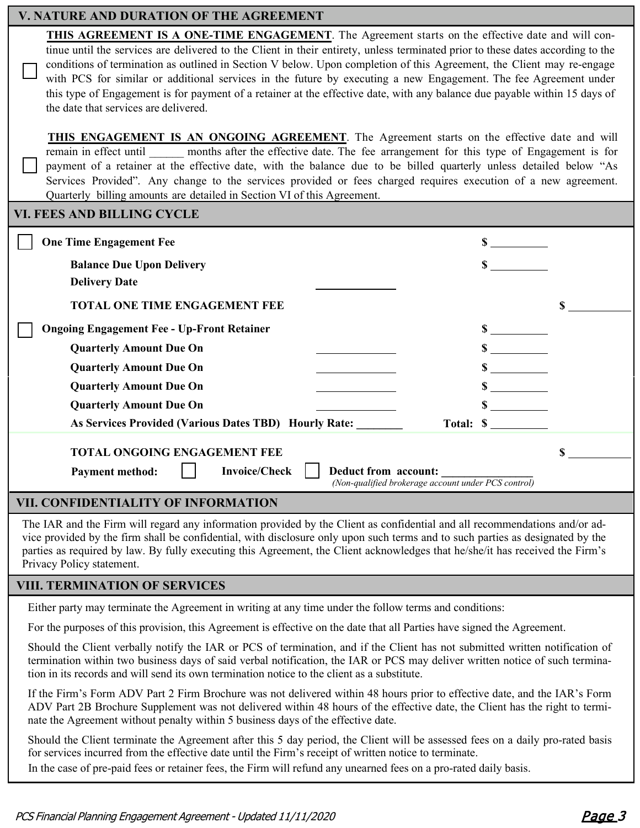| <b>V. NATURE AND DURATION OF THE AGREEMENT</b>                                                                                                                                                                                                                                                                                                                                                                                                                                                                                                                                                                                                           |                                                     |  |  |  |  |  |
|----------------------------------------------------------------------------------------------------------------------------------------------------------------------------------------------------------------------------------------------------------------------------------------------------------------------------------------------------------------------------------------------------------------------------------------------------------------------------------------------------------------------------------------------------------------------------------------------------------------------------------------------------------|-----------------------------------------------------|--|--|--|--|--|
| THIS AGREEMENT IS A ONE-TIME ENGAGEMENT. The Agreement starts on the effective date and will con-<br>tinue until the services are delivered to the Client in their entirety, unless terminated prior to these dates according to the<br>conditions of termination as outlined in Section V below. Upon completion of this Agreement, the Client may re-engage<br>with PCS for similar or additional services in the future by executing a new Engagement. The fee Agreement under<br>this type of Engagement is for payment of a retainer at the effective date, with any balance due payable within 15 days of<br>the date that services are delivered. |                                                     |  |  |  |  |  |
| THIS ENGAGEMENT IS AN ONGOING AGREEMENT. The Agreement starts on the effective date and will<br>remain in effect until months after the effective date. The fee arrangement for this type of Engagement is for<br>payment of a retainer at the effective date, with the balance due to be billed quarterly unless detailed below "As<br>Services Provided". Any change to the services provided or fees charged requires execution of a new agreement.<br>Quarterly billing amounts are detailed in Section VI of this Agreement.<br><b>VI. FEES AND BILLING CYCLE</b>                                                                                   |                                                     |  |  |  |  |  |
| <b>One Time Engagement Fee</b>                                                                                                                                                                                                                                                                                                                                                                                                                                                                                                                                                                                                                           |                                                     |  |  |  |  |  |
| <b>Balance Due Upon Delivery</b><br><b>Delivery Date</b>                                                                                                                                                                                                                                                                                                                                                                                                                                                                                                                                                                                                 | $\mathbf S$                                         |  |  |  |  |  |
| <b>TOTAL ONE TIME ENGAGEMENT FEE</b>                                                                                                                                                                                                                                                                                                                                                                                                                                                                                                                                                                                                                     | \$                                                  |  |  |  |  |  |
| <b>Ongoing Engagement Fee - Up-Front Retainer</b>                                                                                                                                                                                                                                                                                                                                                                                                                                                                                                                                                                                                        | $\int$                                              |  |  |  |  |  |
| <b>Quarterly Amount Due On</b>                                                                                                                                                                                                                                                                                                                                                                                                                                                                                                                                                                                                                           | $\sim$                                              |  |  |  |  |  |
| <b>Quarterly Amount Due On</b>                                                                                                                                                                                                                                                                                                                                                                                                                                                                                                                                                                                                                           | $\frac{\text{S}}{\text{S}}$                         |  |  |  |  |  |
| <b>Quarterly Amount Due On</b>                                                                                                                                                                                                                                                                                                                                                                                                                                                                                                                                                                                                                           | $\sim$                                              |  |  |  |  |  |
| <b>Quarterly Amount Due On</b><br>As Services Provided (Various Dates TBD) Hourly Rate: ___                                                                                                                                                                                                                                                                                                                                                                                                                                                                                                                                                              | $\sim$                                              |  |  |  |  |  |
|                                                                                                                                                                                                                                                                                                                                                                                                                                                                                                                                                                                                                                                          |                                                     |  |  |  |  |  |
| <b>TOTAL ONGOING ENGAGEMENT FEE</b><br><b>Invoice/Check</b><br><b>Payment method:</b>                                                                                                                                                                                                                                                                                                                                                                                                                                                                                                                                                                    | \$<br><b>Deduct from account:</b>                   |  |  |  |  |  |
|                                                                                                                                                                                                                                                                                                                                                                                                                                                                                                                                                                                                                                                          | (Non-qualified brokerage account under PCS control) |  |  |  |  |  |
| VII. CONFIDENTIALITY OF INFORMATION                                                                                                                                                                                                                                                                                                                                                                                                                                                                                                                                                                                                                      |                                                     |  |  |  |  |  |
| The IAR and the Firm will regard any information provided by the Client as confidential and all recommendations and/or ad-<br>vice provided by the firm shall be confidential, with disclosure only upon such terms and to such parties as designated by the<br>parties as required by law. By fully executing this Agreement, the Client acknowledges that he/she/it has received the Firm's<br>Privacy Policy statement.                                                                                                                                                                                                                               |                                                     |  |  |  |  |  |
| <b>VIII. TERMINATION OF SERVICES</b>                                                                                                                                                                                                                                                                                                                                                                                                                                                                                                                                                                                                                     |                                                     |  |  |  |  |  |
| Either party may terminate the Agreement in writing at any time under the follow terms and conditions:                                                                                                                                                                                                                                                                                                                                                                                                                                                                                                                                                   |                                                     |  |  |  |  |  |
| For the purposes of this provision, this Agreement is effective on the date that all Parties have signed the Agreement.                                                                                                                                                                                                                                                                                                                                                                                                                                                                                                                                  |                                                     |  |  |  |  |  |
| Should the Client verbally notify the IAR or PCS of termination, and if the Client has not submitted written notification of<br>termination within two business days of said verbal notification, the IAR or PCS may deliver written notice of such termina-<br>tion in its records and will send its own termination notice to the client as a substitute.                                                                                                                                                                                                                                                                                              |                                                     |  |  |  |  |  |
| If the Firm's Form ADV Part 2 Firm Brochure was not delivered within 48 hours prior to effective date, and the IAR's Form<br>ADV Part 2B Brochure Supplement was not delivered within 48 hours of the effective date, the Client has the right to termi-<br>nate the Agreement without penalty within 5 business days of the effective date.                                                                                                                                                                                                                                                                                                             |                                                     |  |  |  |  |  |
| Should the Client terminate the Agreement after this 5 day period, the Client will be assessed fees on a daily pro-rated basis<br>for services incurred from the effective date until the Firm's receipt of written notice to terminate.<br>In the case of pre-paid fees or retainer fees, the Firm will refund any unearned fees on a pro-rated daily basis.                                                                                                                                                                                                                                                                                            |                                                     |  |  |  |  |  |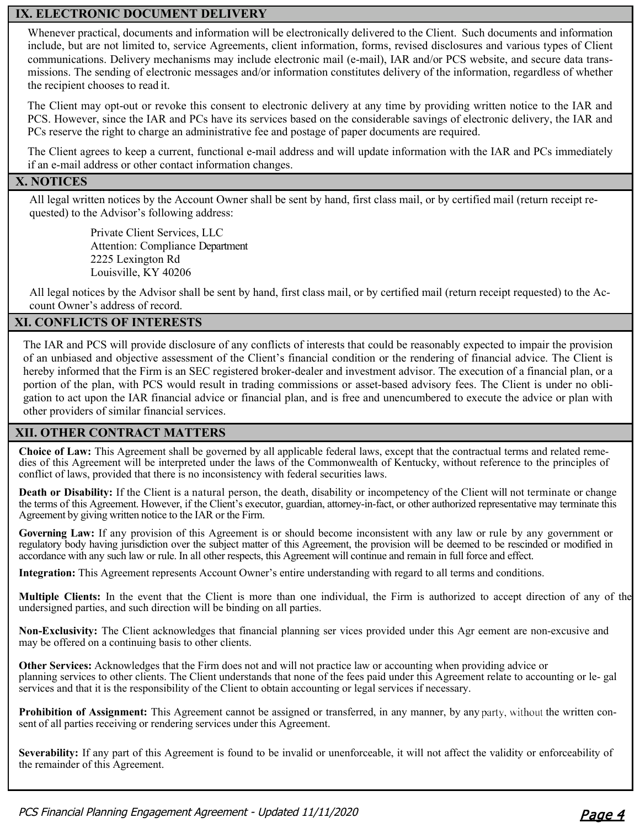# **IX. ELECTRONIC DOCUMENT DELIVERY**

Whenever practical, documents and information will be electronically delivered to the Client. Such documents and information include, but are not limited to, service Agreements, client information, forms, revised disclosures and various types of Client communications. Delivery mechanisms may include electronic mail (e-mail), IAR and/or PCS website, and secure data transmissions. The sending of electronic messages and/or information constitutes delivery of the information, regardless of whether the recipient chooses to read it.

The Client may opt-out or revoke this consent to electronic delivery at any time by providing written notice to the IAR and PCS. However, since the IAR and PCs have its services based on the considerable savings of electronic delivery, the IAR and PCs reserve the right to charge an administrative fee and postage of paper documents are required.

The Client agrees to keep a current, functional e-mail address and will update information with the IAR and PCs immediately if an e-mail address or other contact information changes.

### **X. NOTICES**

All legal written notices by the Account Owner shall be sent by hand, first class mail, or by certified mail (return receipt requested) to the Advisor's following address:

> Private Client Services, LLC Attention: Compliance Department 2225 Lexington Rd Louisville, KY 40206

All legal notices by the Advisor shall be sent by hand, first class mail, or by certified mail (return receipt requested) to the Account Owner's address of record.

# **XI. CONFLICTS OF INTERESTS**

The IAR and PCS will provide disclosure of any conflicts of interests that could be reasonably expected to impair the provision of an unbiased and objective assessment of the Client's financial condition or the rendering of financial advice. The Client is hereby informed that the Firm is an SEC registered broker-dealer and investment advisor. The execution of a financial plan, or a portion of the plan, with PCS would result in trading commissions or asset-based advisory fees. The Client is under no obligation to act upon the IAR financial advice or financial plan, and is free and unencumbered to execute the advice or plan with other providers of similar financial services.

# **XII. OTHER CONTRACT MATTERS**

**Choice of Law:** This Agreement shall be governed by all applicable federal laws, except that the contractual terms and related remedies of this Agreement will be interpreted under the laws of the Commonwealth of Kentucky, without reference to the principles of conflict of laws, provided that there is no inconsistency with federal securities laws.

**Death or Disability:** If the Client is a natural person, the death, disability or incompetency of the Client will not terminate or change the terms of this Agreement. However, if the Client's executor, guardian, attorney-in-fact, or other authorized representative may terminate this Agreement by giving written notice to the IAR or the Firm.

**Governing Law:** If any provision of this Agreement is or should become inconsistent with any law or rule by any government or regulatory body having jurisdiction over the subject matter of this Agreement, the provision will be deemed to be rescinded or modified in accordance with any such law or rule. In all other respects, this Agreement will continue and remain in full force and effect.

**Integration:** This Agreement represents Account Owner's entire understanding with regard to all terms and conditions.

**Multiple Clients:** In the event that the Client is more than one individual, the Firm is authorized to accept direction of any of the undersigned parties, and such direction will be binding on all parties.

**Non-Exclusivity:** The Client acknowledges that financial planning ser vices provided under this Agr eement are non-excusive and may be offered on a continuing basis to other clients.

**Other Services:** Acknowledges that the Firm does not and will not practice law or accounting when providing advice or planning services to other clients. The Client understands that none of the fees paid under this Agreement relate to accounting or le- gal services and that it is the responsibility of the Client to obtain accounting or legal services if necessary.

**Prohibition of Assignment:** This Agreement cannot be assigned or transferred, in any manner, by any party, without the written consent of all parties receiving or rendering services under this Agreement.

Severability: If any part of this Agreement is found to be invalid or unenforceable, it will not affect the validity or enforceability of the remainder of this Agreement.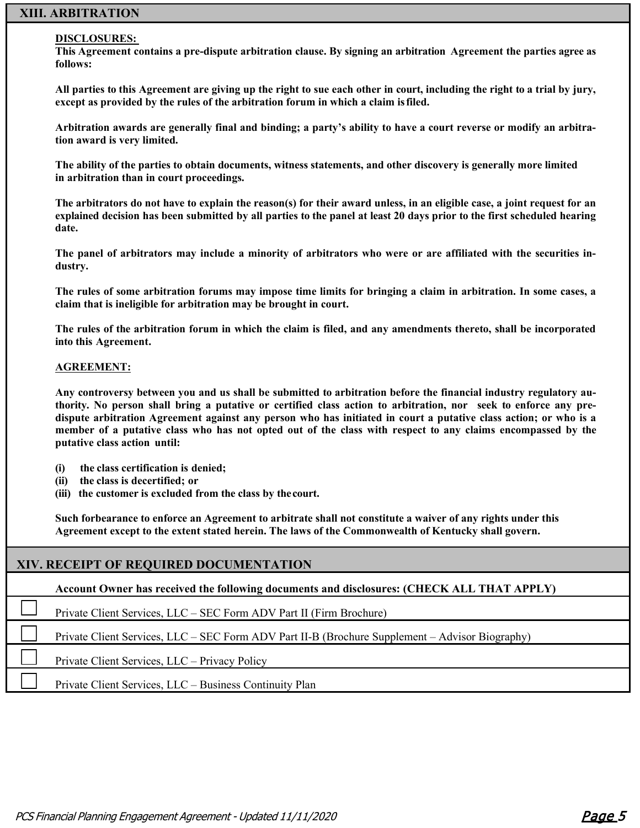#### **XIII. ARBITRATION**

#### **DISCLOSURES:**

**This Agreement contains a pre-dispute arbitration clause. By signing an arbitration Agreement the parties agree as follows:**

**All parties to this Agreement are giving up the right to sue each other in court, including the right to a trial by jury, except as provided by the rules of the arbitration forum in which a claim isfiled.**

**Arbitration awards are generally final and binding; a party's ability to have a court reverse or modify an arbitration award is very limited.**

**The ability of the parties to obtain documents, witness statements, and other discovery is generally more limited in arbitration than in court proceedings.**

**The arbitrators do not have to explain the reason(s) for their award unless, in an eligible case, a joint request for an explained decision has been submitted by all parties to the panel at least 20 days prior to the first scheduled hearing date.**

**The panel of arbitrators may include a minority of arbitrators who were or are affiliated with the securities industry.**

**The rules of some arbitration forums may impose time limits for bringing a claim in arbitration. In some cases, a claim that is ineligible for arbitration may be brought in court.**

**The rules of the arbitration forum in which the claim is filed, and any amendments thereto, shall be incorporated into this Agreement.**

#### **AGREEMENT:**

**Any controversy between you and us shall be submitted to arbitration before the financial industry regulatory authority. No person shall bring a putative or certified class action to arbitration, nor seek to enforce any predispute arbitration Agreement against any person who has initiated in court a putative class action; or who is a member of a putative class who has not opted out of the class with respect to any claims encompassed by the putative class action until:**

- **(i) the class certification is denied;**
- **(ii) the class is decertified; or**
- **(iii) the customer is excluded from the class by the court.**

**Such forbearance to enforce an Agreement to arbitrate shall not constitute a waiver of any rights under this Agreement except to the extent stated herein. The laws of the Commonwealth of Kentucky shall govern.**

| XIV. RECEIPT OF REQUIRED DOCUMENTATION |                                                                                                 |  |  |  |
|----------------------------------------|-------------------------------------------------------------------------------------------------|--|--|--|
|                                        | Account Owner has received the following documents and disclosures: (CHECK ALL THAT APPLY)      |  |  |  |
|                                        | Private Client Services, LLC - SEC Form ADV Part II (Firm Brochure)                             |  |  |  |
|                                        | Private Client Services, LLC – SEC Form ADV Part II-B (Brochure Supplement – Advisor Biography) |  |  |  |
|                                        | Private Client Services, LLC – Privacy Policy                                                   |  |  |  |
|                                        | Private Client Services, LLC – Business Continuity Plan                                         |  |  |  |
|                                        |                                                                                                 |  |  |  |